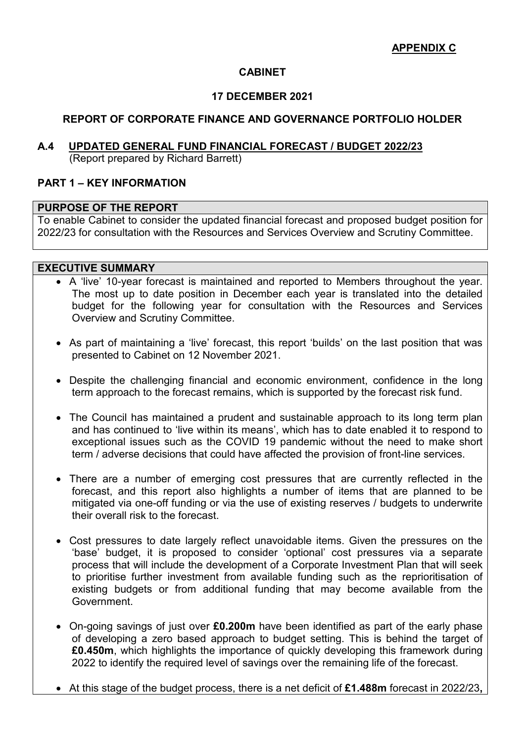#### **CABINET**

#### **17 DECEMBER 2021**

#### **REPORT OF CORPORATE FINANCE AND GOVERNANCE PORTFOLIO HOLDER**

# **A.4 UPDATED GENERAL FUND FINANCIAL FORECAST / BUDGET 2022/23**

(Report prepared by Richard Barrett)

#### **PART 1 – KEY INFORMATION**

#### **PURPOSE OF THE REPORT**

To enable Cabinet to consider the updated financial forecast and proposed budget position for 2022/23 for consultation with the Resources and Services Overview and Scrutiny Committee.

#### **EXECUTIVE SUMMARY**

- A 'live' 10-year forecast is maintained and reported to Members throughout the year. The most up to date position in December each year is translated into the detailed budget for the following year for consultation with the Resources and Services Overview and Scrutiny Committee.
- As part of maintaining a 'live' forecast, this report 'builds' on the last position that was presented to Cabinet on 12 November 2021.
- Despite the challenging financial and economic environment, confidence in the long term approach to the forecast remains, which is supported by the forecast risk fund.
- The Council has maintained a prudent and sustainable approach to its long term plan and has continued to 'live within its means', which has to date enabled it to respond to exceptional issues such as the COVID 19 pandemic without the need to make short term / adverse decisions that could have affected the provision of front-line services.
- There are a number of emerging cost pressures that are currently reflected in the forecast, and this report also highlights a number of items that are planned to be mitigated via one-off funding or via the use of existing reserves / budgets to underwrite their overall risk to the forecast.
- Cost pressures to date largely reflect unavoidable items. Given the pressures on the 'base' budget, it is proposed to consider 'optional' cost pressures via a separate process that will include the development of a Corporate Investment Plan that will seek to prioritise further investment from available funding such as the reprioritisation of existing budgets or from additional funding that may become available from the Government.
- On-going savings of just over **£0.200m** have been identified as part of the early phase of developing a zero based approach to budget setting. This is behind the target of **£0.450m**, which highlights the importance of quickly developing this framework during 2022 to identify the required level of savings over the remaining life of the forecast.
- At this stage of the budget process, there is a net deficit of **£1.488m** forecast in 2022/23**,**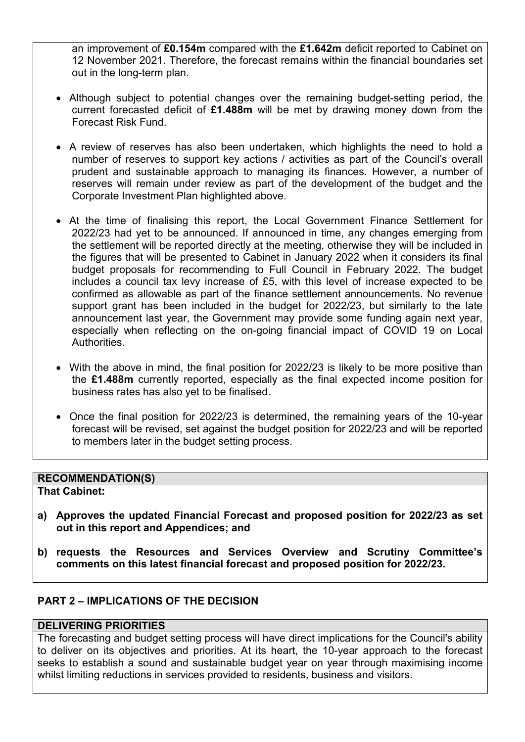an improvement of **£0.154m** compared with the **£1.642m** deficit reported to Cabinet on 12 November 2021. Therefore, the forecast remains within the financial boundaries set out in the long-term plan.

- Although subject to potential changes over the remaining budget-setting period, the current forecasted deficit of **£1.488m** will be met by drawing money down from the Forecast Risk Fund.
- A review of reserves has also been undertaken, which highlights the need to hold a number of reserves to support key actions / activities as part of the Council's overall prudent and sustainable approach to managing its finances. However, a number of reserves will remain under review as part of the development of the budget and the Corporate Investment Plan highlighted above.
- At the time of finalising this report, the Local Government Finance Settlement for 2022/23 had yet to be announced. If announced in time, any changes emerging from the settlement will be reported directly at the meeting, otherwise they will be included in the figures that will be presented to Cabinet in January 2022 when it considers its final budget proposals for recommending to Full Council in February 2022. The budget includes a council tax levy increase of £5, with this level of increase expected to be confirmed as allowable as part of the finance settlement announcements. No revenue support grant has been included in the budget for 2022/23, but similarly to the late announcement last year, the Government may provide some funding again next year, especially when reflecting on the on-going financial impact of COVID 19 on Local Authorities.
- With the above in mind, the final position for 2022/23 is likely to be more positive than the **£1.488m** currently reported, especially as the final expected income position for business rates has also yet to be finalised.
- Once the final position for 2022/23 is determined, the remaining years of the 10-year forecast will be revised, set against the budget position for 2022/23 and will be reported to members later in the budget setting process.

## **RECOMMENDATION(S)**

#### **That Cabinet:**

- **a) Approves the updated Financial Forecast and proposed position for 2022/23 as set out in this report and Appendices; and**
- **b) requests the Resources and Services Overview and Scrutiny Committee's comments on this latest financial forecast and proposed position for 2022/23.**

## **PART 2 – IMPLICATIONS OF THE DECISION**

#### **DELIVERING PRIORITIES**

The forecasting and budget setting process will have direct implications for the Council's ability to deliver on its objectives and priorities. At its heart, the 10-year approach to the forecast seeks to establish a sound and sustainable budget year on year through maximising income whilst limiting reductions in services provided to residents, business and visitors.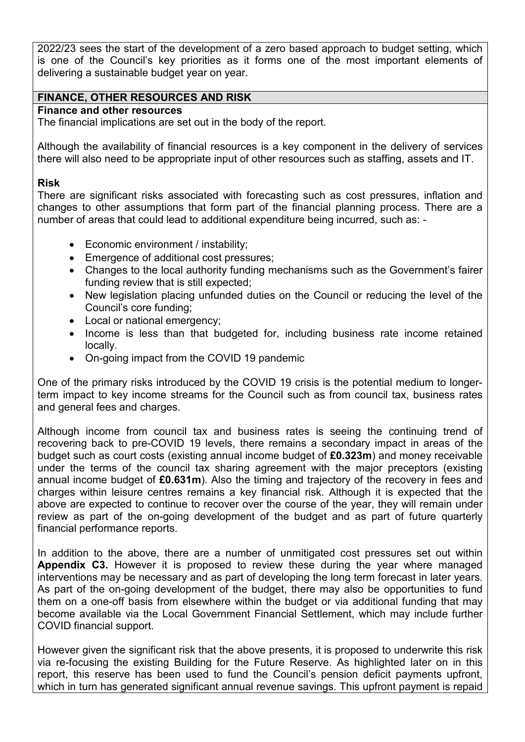2022/23 sees the start of the development of a zero based approach to budget setting, which is one of the Council's key priorities as it forms one of the most important elements of delivering a sustainable budget year on year.

#### **FINANCE, OTHER RESOURCES AND RISK**

## **Finance and other resources**

The financial implications are set out in the body of the report.

Although the availability of financial resources is a key component in the delivery of services there will also need to be appropriate input of other resources such as staffing, assets and IT.

#### **Risk**

There are significant risks associated with forecasting such as cost pressures, inflation and changes to other assumptions that form part of the financial planning process. There are a number of areas that could lead to additional expenditure being incurred, such as: -

- Economic environment / instability;
- Emergence of additional cost pressures:
- Changes to the local authority funding mechanisms such as the Government's fairer funding review that is still expected;
- New legislation placing unfunded duties on the Council or reducing the level of the Council's core funding;
- Local or national emergency;
- Income is less than that budgeted for, including business rate income retained locally.
- On-going impact from the COVID 19 pandemic

One of the primary risks introduced by the COVID 19 crisis is the potential medium to longerterm impact to key income streams for the Council such as from council tax, business rates and general fees and charges.

Although income from council tax and business rates is seeing the continuing trend of recovering back to pre-COVID 19 levels, there remains a secondary impact in areas of the budget such as court costs (existing annual income budget of **£0.323m**) and money receivable under the terms of the council tax sharing agreement with the major preceptors (existing annual income budget of **£0.631m**). Also the timing and trajectory of the recovery in fees and charges within leisure centres remains a key financial risk. Although it is expected that the above are expected to continue to recover over the course of the year, they will remain under review as part of the on-going development of the budget and as part of future quarterly financial performance reports.

In addition to the above, there are a number of unmitigated cost pressures set out within **Appendix C3.** However it is proposed to review these during the year where managed interventions may be necessary and as part of developing the long term forecast in later years. As part of the on-going development of the budget, there may also be opportunities to fund them on a one-off basis from elsewhere within the budget or via additional funding that may become available via the Local Government Financial Settlement, which may include further COVID financial support.

However given the significant risk that the above presents, it is proposed to underwrite this risk via re-focusing the existing Building for the Future Reserve. As highlighted later on in this report, this reserve has been used to fund the Council's pension deficit payments upfront, which in turn has generated significant annual revenue savings. This upfront payment is repaid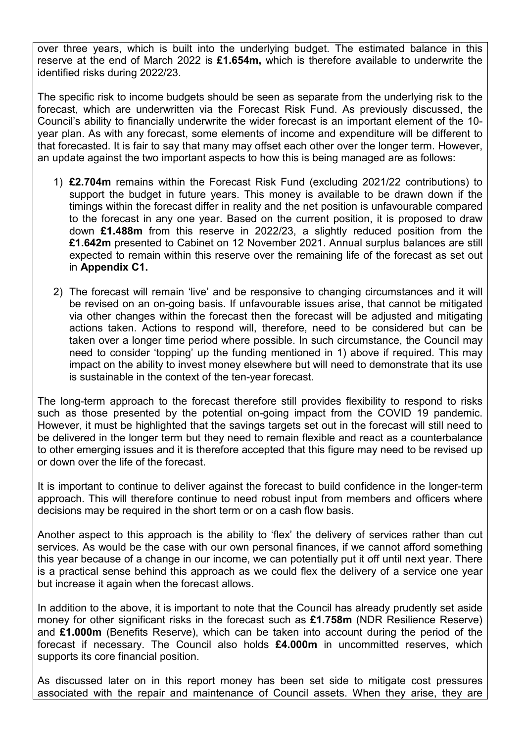over three years, which is built into the underlying budget. The estimated balance in this reserve at the end of March 2022 is **£1.654m,** which is therefore available to underwrite the identified risks during 2022/23.

The specific risk to income budgets should be seen as separate from the underlying risk to the forecast, which are underwritten via the Forecast Risk Fund. As previously discussed, the Council's ability to financially underwrite the wider forecast is an important element of the 10 year plan. As with any forecast, some elements of income and expenditure will be different to that forecasted. It is fair to say that many may offset each other over the longer term. However, an update against the two important aspects to how this is being managed are as follows:

- 1) **£2.704m** remains within the Forecast Risk Fund (excluding 2021/22 contributions) to support the budget in future years. This money is available to be drawn down if the timings within the forecast differ in reality and the net position is unfavourable compared to the forecast in any one year. Based on the current position, it is proposed to draw down **£1.488m** from this reserve in 2022/23, a slightly reduced position from the **£1.642m** presented to Cabinet on 12 November 2021. Annual surplus balances are still expected to remain within this reserve over the remaining life of the forecast as set out in **Appendix C1.**
- 2) The forecast will remain 'live' and be responsive to changing circumstances and it will be revised on an on-going basis. If unfavourable issues arise, that cannot be mitigated via other changes within the forecast then the forecast will be adjusted and mitigating actions taken. Actions to respond will, therefore, need to be considered but can be taken over a longer time period where possible. In such circumstance, the Council may need to consider 'topping' up the funding mentioned in 1) above if required. This may impact on the ability to invest money elsewhere but will need to demonstrate that its use is sustainable in the context of the ten-year forecast.

The long-term approach to the forecast therefore still provides flexibility to respond to risks such as those presented by the potential on-going impact from the COVID 19 pandemic. However, it must be highlighted that the savings targets set out in the forecast will still need to be delivered in the longer term but they need to remain flexible and react as a counterbalance to other emerging issues and it is therefore accepted that this figure may need to be revised up or down over the life of the forecast.

It is important to continue to deliver against the forecast to build confidence in the longer-term approach. This will therefore continue to need robust input from members and officers where decisions may be required in the short term or on a cash flow basis.

Another aspect to this approach is the ability to 'flex' the delivery of services rather than cut services. As would be the case with our own personal finances, if we cannot afford something this year because of a change in our income, we can potentially put it off until next year. There is a practical sense behind this approach as we could flex the delivery of a service one year but increase it again when the forecast allows.

In addition to the above, it is important to note that the Council has already prudently set aside money for other significant risks in the forecast such as **£1.758m** (NDR Resilience Reserve) and **£1.000m** (Benefits Reserve), which can be taken into account during the period of the forecast if necessary. The Council also holds **£4.000m** in uncommitted reserves, which supports its core financial position.

As discussed later on in this report money has been set side to mitigate cost pressures associated with the repair and maintenance of Council assets. When they arise, they are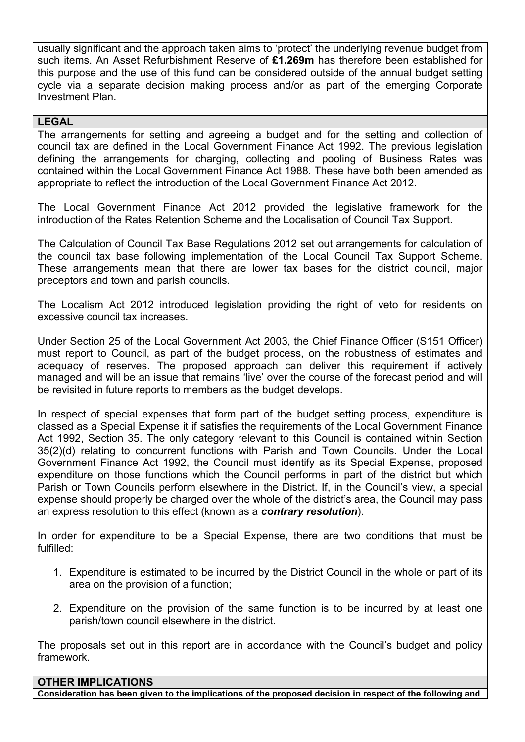usually significant and the approach taken aims to 'protect' the underlying revenue budget from such items. An Asset Refurbishment Reserve of **£1.269m** has therefore been established for this purpose and the use of this fund can be considered outside of the annual budget setting cycle via a separate decision making process and/or as part of the emerging Corporate Investment Plan.

#### **LEGAL**

The arrangements for setting and agreeing a budget and for the setting and collection of council tax are defined in the Local Government Finance Act 1992. The previous legislation defining the arrangements for charging, collecting and pooling of Business Rates was contained within the Local Government Finance Act 1988. These have both been amended as appropriate to reflect the introduction of the Local Government Finance Act 2012.

The Local Government Finance Act 2012 provided the legislative framework for the introduction of the Rates Retention Scheme and the Localisation of Council Tax Support.

The Calculation of Council Tax Base Regulations 2012 set out arrangements for calculation of the council tax base following implementation of the Local Council Tax Support Scheme. These arrangements mean that there are lower tax bases for the district council, major preceptors and town and parish councils.

The Localism Act 2012 introduced legislation providing the right of veto for residents on excessive council tax increases.

Under Section 25 of the Local Government Act 2003, the Chief Finance Officer (S151 Officer) must report to Council, as part of the budget process, on the robustness of estimates and adequacy of reserves. The proposed approach can deliver this requirement if actively managed and will be an issue that remains 'live' over the course of the forecast period and will be revisited in future reports to members as the budget develops.

In respect of special expenses that form part of the budget setting process, expenditure is classed as a Special Expense it if satisfies the requirements of the Local Government Finance Act 1992, Section 35. The only category relevant to this Council is contained within Section 35(2)(d) relating to concurrent functions with Parish and Town Councils. Under the Local Government Finance Act 1992, the Council must identify as its Special Expense, proposed expenditure on those functions which the Council performs in part of the district but which Parish or Town Councils perform elsewhere in the District. If, in the Council's view, a special expense should properly be charged over the whole of the district's area, the Council may pass an express resolution to this effect (known as a *contrary resolution*).

In order for expenditure to be a Special Expense, there are two conditions that must be fulfilled:

- 1. Expenditure is estimated to be incurred by the District Council in the whole or part of its area on the provision of a function;
- 2. Expenditure on the provision of the same function is to be incurred by at least one parish/town council elsewhere in the district.

The proposals set out in this report are in accordance with the Council's budget and policy framework.

**OTHER IMPLICATIONS Consideration has been given to the implications of the proposed decision in respect of the following and**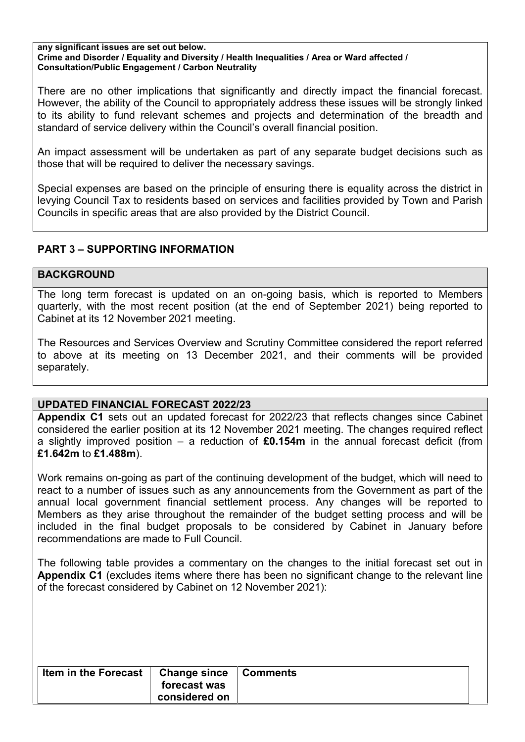#### **any significant issues are set out below. Crime and Disorder / Equality and Diversity / Health Inequalities / Area or Ward affected / Consultation/Public Engagement / Carbon Neutrality**

There are no other implications that significantly and directly impact the financial forecast. However, the ability of the Council to appropriately address these issues will be strongly linked to its ability to fund relevant schemes and projects and determination of the breadth and standard of service delivery within the Council's overall financial position.

An impact assessment will be undertaken as part of any separate budget decisions such as those that will be required to deliver the necessary savings.

Special expenses are based on the principle of ensuring there is equality across the district in levying Council Tax to residents based on services and facilities provided by Town and Parish Councils in specific areas that are also provided by the District Council.

## **PART 3 – SUPPORTING INFORMATION**

#### **BACKGROUND**

The long term forecast is updated on an on-going basis, which is reported to Members quarterly, with the most recent position (at the end of September 2021) being reported to Cabinet at its 12 November 2021 meeting.

The Resources and Services Overview and Scrutiny Committee considered the report referred to above at its meeting on 13 December 2021, and their comments will be provided separately.

## **UPDATED FINANCIAL FORECAST 2022/23**

**Appendix C1** sets out an updated forecast for 2022/23 that reflects changes since Cabinet considered the earlier position at its 12 November 2021 meeting. The changes required reflect a slightly improved position – a reduction of **£0.154m** in the annual forecast deficit (from **£1.642m** to **£1.488m**).

Work remains on-going as part of the continuing development of the budget, which will need to react to a number of issues such as any announcements from the Government as part of the annual local government financial settlement process. Any changes will be reported to Members as they arise throughout the remainder of the budget setting process and will be included in the final budget proposals to be considered by Cabinet in January before recommendations are made to Full Council.

The following table provides a commentary on the changes to the initial forecast set out in **Appendix C1** (excludes items where there has been no significant change to the relevant line of the forecast considered by Cabinet on 12 November 2021):

| <b>Item in the Forecast</b><br>Change since  <br>forecast was<br>considered on | Comments |
|--------------------------------------------------------------------------------|----------|
|--------------------------------------------------------------------------------|----------|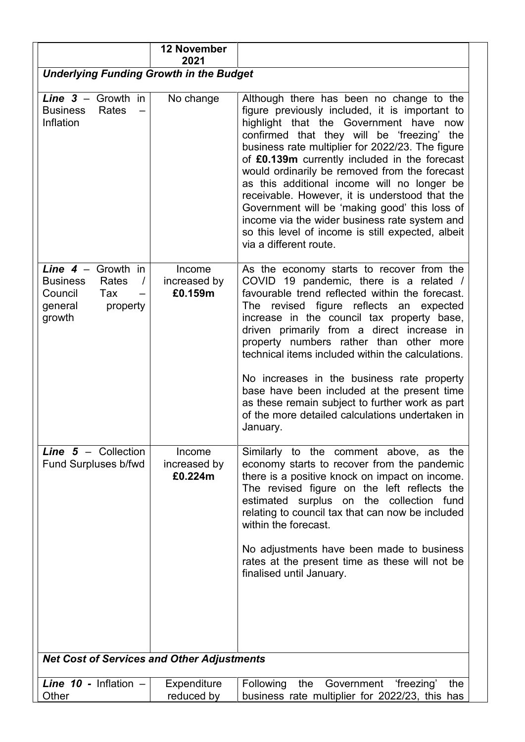|                                                                                                                 | <b>12 November</b><br>2021        |                                                                                                                                                                                                                                                                                                                                                                                                                                                                                                                                                                                                                            |
|-----------------------------------------------------------------------------------------------------------------|-----------------------------------|----------------------------------------------------------------------------------------------------------------------------------------------------------------------------------------------------------------------------------------------------------------------------------------------------------------------------------------------------------------------------------------------------------------------------------------------------------------------------------------------------------------------------------------------------------------------------------------------------------------------------|
| <b>Underlying Funding Growth in the Budget</b>                                                                  |                                   |                                                                                                                                                                                                                                                                                                                                                                                                                                                                                                                                                                                                                            |
| Line $3 -$ Growth in<br><b>Business</b><br>Rates<br>Inflation                                                   | No change                         | Although there has been no change to the<br>figure previously included, it is important to<br>highlight that the Government have now<br>confirmed that they will be 'freezing' the<br>business rate multiplier for 2022/23. The figure<br>of £0.139m currently included in the forecast<br>would ordinarily be removed from the forecast<br>as this additional income will no longer be<br>receivable. However, it is understood that the<br>Government will be 'making good' this loss of<br>income via the wider business rate system and<br>so this level of income is still expected, albeit<br>via a different route. |
| Line $4 -$ Growth in<br><b>Business</b><br>Rates<br>$\prime$<br>Council<br>Tax<br>general<br>property<br>growth | Income<br>increased by<br>£0.159m | As the economy starts to recover from the<br>COVID 19 pandemic, there is a related /<br>favourable trend reflected within the forecast.<br>revised figure reflects an expected<br>The<br>increase in the council tax property base,<br>driven primarily from a direct increase in<br>property numbers rather than other more<br>technical items included within the calculations.<br>No increases in the business rate property<br>base have been included at the present time<br>as these remain subject to further work as part<br>of the more detailed calculations undertaken in<br>January.                           |
| <b>Line <math>5 -</math></b> Collection<br><b>Fund Surpluses b/fwd</b>                                          | Income<br>increased by<br>£0.224m | Similarly to the comment above, as the<br>economy starts to recover from the pandemic<br>there is a positive knock on impact on income.<br>The revised figure on the left reflects the<br>estimated surplus on the collection fund<br>relating to council tax that can now be included<br>within the forecast.<br>No adjustments have been made to business<br>rates at the present time as these will not be<br>finalised until January.                                                                                                                                                                                  |
| <b>Net Cost of Services and Other Adjustments</b>                                                               |                                   |                                                                                                                                                                                                                                                                                                                                                                                                                                                                                                                                                                                                                            |
| Line $10$ - Inflation $-$<br>Other                                                                              | Expenditure<br>reduced by         | the Government 'freezing'<br>Following<br>the<br>business rate multiplier for 2022/23, this has                                                                                                                                                                                                                                                                                                                                                                                                                                                                                                                            |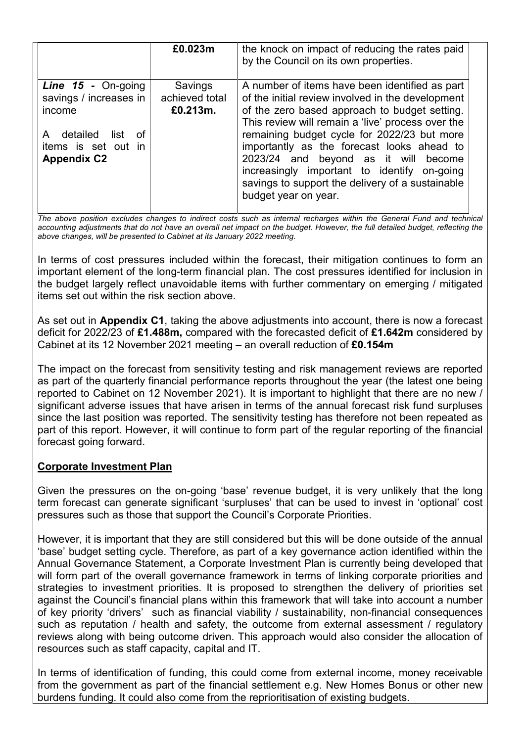|                                                                    | £0.023m                               | the knock on impact of reducing the rates paid<br>by the Council on its own properties.                                                                                                                                                                      |
|--------------------------------------------------------------------|---------------------------------------|--------------------------------------------------------------------------------------------------------------------------------------------------------------------------------------------------------------------------------------------------------------|
| <b>Line 15 - On-going</b><br>savings / increases in  <br>income    | Savings<br>achieved total<br>£0.213m. | A number of items have been identified as part<br>of the initial review involved in the development<br>of the zero based approach to budget setting.<br>This review will remain a 'live' process over the                                                    |
| detailed list of<br>A<br>items is set out in<br><b>Appendix C2</b> |                                       | remaining budget cycle for 2022/23 but more<br>importantly as the forecast looks ahead to<br>2023/24 and beyond as it will become<br>increasingly important to identify on-going<br>savings to support the delivery of a sustainable<br>budget year on year. |

*The above position excludes changes to indirect costs such as internal recharges within the General Fund and technical accounting adjustments that do not have an overall net impact on the budget. However, the full detailed budget, reflecting the above changes, will be presented to Cabinet at its January 2022 meeting.* 

In terms of cost pressures included within the forecast, their mitigation continues to form an important element of the long-term financial plan. The cost pressures identified for inclusion in the budget largely reflect unavoidable items with further commentary on emerging / mitigated items set out within the risk section above.

As set out in **Appendix C1**, taking the above adjustments into account, there is now a forecast deficit for 2022/23 of **£1.488m,** compared with the forecasted deficit of **£1.642m** considered by Cabinet at its 12 November 2021 meeting – an overall reduction of **£0.154m**

The impact on the forecast from sensitivity testing and risk management reviews are reported as part of the quarterly financial performance reports throughout the year (the latest one being reported to Cabinet on 12 November 2021). It is important to highlight that there are no new / significant adverse issues that have arisen in terms of the annual forecast risk fund surpluses since the last position was reported. The sensitivity testing has therefore not been repeated as part of this report. However, it will continue to form part of the regular reporting of the financial forecast going forward.

## **Corporate Investment Plan**

Given the pressures on the on-going 'base' revenue budget, it is very unlikely that the long term forecast can generate significant 'surpluses' that can be used to invest in 'optional' cost pressures such as those that support the Council's Corporate Priorities.

However, it is important that they are still considered but this will be done outside of the annual 'base' budget setting cycle. Therefore, as part of a key governance action identified within the Annual Governance Statement, a Corporate Investment Plan is currently being developed that will form part of the overall governance framework in terms of linking corporate priorities and strategies to investment priorities. It is proposed to strengthen the delivery of priorities set against the Council's financial plans within this framework that will take into account a number of key priority 'drivers' such as financial viability / sustainability, non-financial consequences such as reputation / health and safety, the outcome from external assessment / regulatory reviews along with being outcome driven. This approach would also consider the allocation of resources such as staff capacity, capital and IT.

In terms of identification of funding, this could come from external income, money receivable from the government as part of the financial settlement e.g. New Homes Bonus or other new burdens funding. It could also come from the reprioritisation of existing budgets.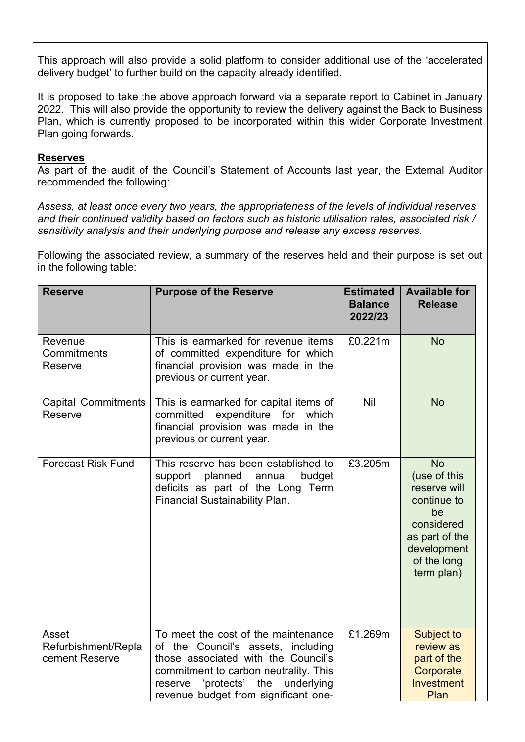This approach will also provide a solid platform to consider additional use of the 'accelerated delivery budget' to further build on the capacity already identified.

It is proposed to take the above approach forward via a separate report to Cabinet in January 2022. This will also provide the opportunity to review the delivery against the Back to Business Plan, which is currently proposed to be incorporated within this wider Corporate Investment Plan going forwards.

#### **Reserves**

As part of the audit of the Council's Statement of Accounts last year, the External Auditor recommended the following:

*Assess, at least once every two years, the appropriateness of the levels of individual reserves and their continued validity based on factors such as historic utilisation rates, associated risk / sensitivity analysis and their underlying purpose and release any excess reserves.* 

Following the associated review, a summary of the reserves held and their purpose is set out in the following table:

| <b>Reserve</b>                                 | <b>Purpose of the Reserve</b>                                                                                                                                                                                                                   | <b>Estimated</b><br><b>Balance</b><br>2022/23 | <b>Available for</b><br><b>Release</b>                                                                                                     |
|------------------------------------------------|-------------------------------------------------------------------------------------------------------------------------------------------------------------------------------------------------------------------------------------------------|-----------------------------------------------|--------------------------------------------------------------------------------------------------------------------------------------------|
| Revenue<br>Commitments<br>Reserve              | This is earmarked for revenue items<br>of committed expenditure for which<br>financial provision was made in the<br>previous or current year.                                                                                                   | £0.221m                                       | <b>No</b>                                                                                                                                  |
| <b>Capital Commitments</b><br>Reserve          | This is earmarked for capital items of<br>expenditure for which<br>committed<br>financial provision was made in the<br>previous or current year.                                                                                                | Nil                                           | <b>No</b>                                                                                                                                  |
| <b>Forecast Risk Fund</b>                      | This reserve has been established to<br>support<br>planned<br>annual<br>budget<br>deficits as part of the Long Term<br>Financial Sustainability Plan.                                                                                           | £3.205m                                       | <b>No</b><br>(use of this<br>reserve will<br>continue to<br>be<br>considered<br>as part of the<br>development<br>of the long<br>term plan) |
| Asset<br>Refurbishment/Repla<br>cement Reserve | To meet the cost of the maintenance<br>of the Council's assets, including<br>those associated with the Council's<br>commitment to carbon neutrality. This<br>'protects'<br>the<br>underlying<br>reserve<br>revenue budget from significant one- | £1.269m                                       | Subject to<br>review as<br>part of the<br>Corporate<br>Investment<br>Plan                                                                  |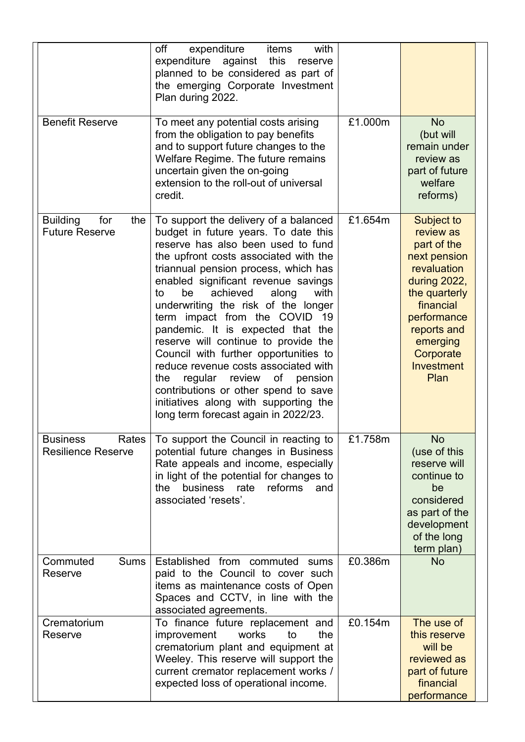| <b>Benefit Reserve</b>                                 | off<br>with<br>expenditure<br>items<br>against this<br>expenditure<br>reserve<br>planned to be considered as part of<br>the emerging Corporate Investment<br>Plan during 2022.<br>To meet any potential costs arising<br>from the obligation to pay benefits<br>and to support future changes to the<br>Welfare Regime. The future remains<br>uncertain given the on-going<br>extension to the roll-out of universal                                                                                                                                                                                                                                                                                     | £1.000m | <b>No</b><br>(but will<br>remain under<br>review as<br>part of future<br>welfare                                                                                                                             |
|--------------------------------------------------------|----------------------------------------------------------------------------------------------------------------------------------------------------------------------------------------------------------------------------------------------------------------------------------------------------------------------------------------------------------------------------------------------------------------------------------------------------------------------------------------------------------------------------------------------------------------------------------------------------------------------------------------------------------------------------------------------------------|---------|--------------------------------------------------------------------------------------------------------------------------------------------------------------------------------------------------------------|
| <b>Building</b><br>for<br>the<br><b>Future Reserve</b> | credit.<br>To support the delivery of a balanced<br>budget in future years. To date this<br>reserve has also been used to fund<br>the upfront costs associated with the<br>triannual pension process, which has<br>enabled significant revenue savings<br>be<br>achieved<br>along<br>with<br>to<br>underwriting the risk of the longer<br>term impact from the COVID 19<br>pandemic. It is expected that the<br>reserve will continue to provide the<br>Council with further opportunities to<br>reduce revenue costs associated with<br>review<br>of pension<br>the<br>regular<br>contributions or other spend to save<br>initiatives along with supporting the<br>long term forecast again in 2022/23. | £1.654m | reforms)<br>Subject to<br>review as<br>part of the<br>next pension<br>revaluation<br>during 2022,<br>the quarterly<br>financial<br>performance<br>reports and<br>emerging<br>Corporate<br>Investment<br>Plan |
| <b>Business</b><br>Rates<br><b>Resilience Reserve</b>  | To support the Council in reacting to<br>potential future changes in Business<br>Rate appeals and income, especially<br>in light of the potential for changes to<br>the<br>business rate<br>reforms<br>and<br>associated 'resets'.                                                                                                                                                                                                                                                                                                                                                                                                                                                                       | £1.758m | <b>No</b><br>(use of this<br>reserve will<br>continue to<br>be<br>considered<br>as part of the<br>development<br>of the long<br>term plan)                                                                   |
| Commuted<br><b>Sums</b><br>Reserve                     | Established from commuted sums<br>paid to the Council to cover such<br>items as maintenance costs of Open<br>Spaces and CCTV, in line with the<br>associated agreements.                                                                                                                                                                                                                                                                                                                                                                                                                                                                                                                                 | £0.386m | <b>No</b>                                                                                                                                                                                                    |
| Crematorium<br>Reserve                                 | To finance future replacement and<br>works<br>improvement<br>to<br>the<br>crematorium plant and equipment at<br>Weeley. This reserve will support the<br>current cremator replacement works /<br>expected loss of operational income.                                                                                                                                                                                                                                                                                                                                                                                                                                                                    | £0.154m | The use of<br>this reserve<br>will be<br>reviewed as<br>part of future<br>financial<br>performance                                                                                                           |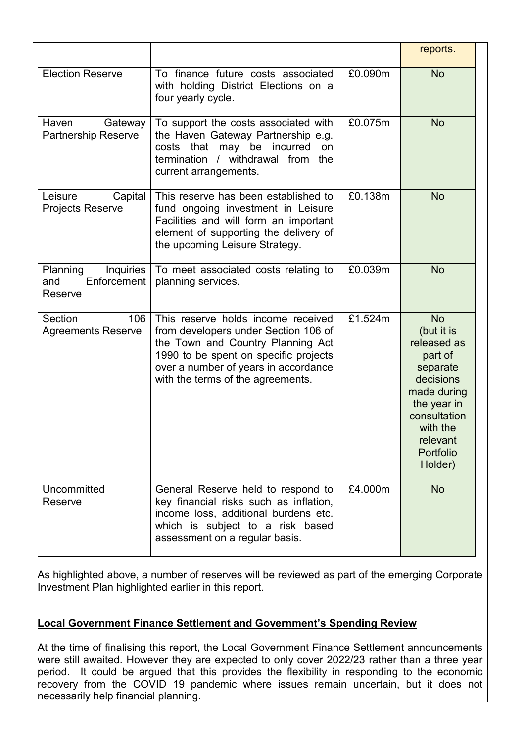|                                                        |                                                                                                                                                                                                                                       |         | reports.                                                                                                                                                                 |
|--------------------------------------------------------|---------------------------------------------------------------------------------------------------------------------------------------------------------------------------------------------------------------------------------------|---------|--------------------------------------------------------------------------------------------------------------------------------------------------------------------------|
| <b>Election Reserve</b>                                | To finance future costs associated<br>with holding District Elections on a<br>four yearly cycle.                                                                                                                                      | £0.090m | <b>No</b>                                                                                                                                                                |
| Haven<br>Gateway<br><b>Partnership Reserve</b>         | To support the costs associated with<br>the Haven Gateway Partnership e.g.<br>that<br>may be incurred<br>costs<br>on<br>termination<br>/ withdrawal from<br>the<br>current arrangements.                                              | £0.075m | <b>No</b>                                                                                                                                                                |
| Leisure<br>Capital<br>Projects Reserve                 | This reserve has been established to<br>fund ongoing investment in Leisure<br>Facilities and will form an important<br>element of supporting the delivery of<br>the upcoming Leisure Strategy.                                        | £0.138m | <b>No</b>                                                                                                                                                                |
| Planning<br>Inquiries<br>Enforcement<br>and<br>Reserve | To meet associated costs relating to<br>planning services.                                                                                                                                                                            | £0.039m | <b>No</b>                                                                                                                                                                |
| Section<br>106<br><b>Agreements Reserve</b>            | This reserve holds income received<br>from developers under Section 106 of<br>the Town and Country Planning Act<br>1990 to be spent on specific projects<br>over a number of years in accordance<br>with the terms of the agreements. | £1.524m | <b>No</b><br>(but it is<br>released as<br>part of<br>separate<br>decisions<br>made during<br>the year in<br>consultation<br>with the<br>relevant<br>Portfolio<br>Holder) |
| Uncommitted<br>Reserve                                 | General Reserve held to respond to<br>key financial risks such as inflation,<br>income loss, additional burdens etc.<br>which is subject to a risk based<br>assessment on a regular basis.                                            | £4.000m | <b>No</b>                                                                                                                                                                |

As highlighted above, a number of reserves will be reviewed as part of the emerging Corporate Investment Plan highlighted earlier in this report.

## **Local Government Finance Settlement and Government's Spending Review**

At the time of finalising this report, the Local Government Finance Settlement announcements were still awaited. However they are expected to only cover 2022/23 rather than a three year period. It could be argued that this provides the flexibility in responding to the economic recovery from the COVID 19 pandemic where issues remain uncertain, but it does not necessarily help financial planning.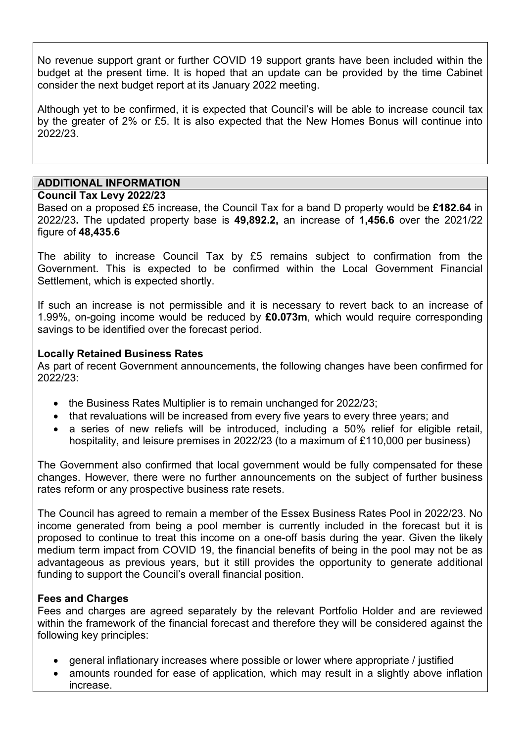No revenue support grant or further COVID 19 support grants have been included within the budget at the present time. It is hoped that an update can be provided by the time Cabinet consider the next budget report at its January 2022 meeting.

Although yet to be confirmed, it is expected that Council's will be able to increase council tax by the greater of 2% or £5. It is also expected that the New Homes Bonus will continue into 2022/23.

## **ADDITIONAL INFORMATION**

#### **Council Tax Levy 2022/23**

Based on a proposed £5 increase, the Council Tax for a band D property would be **£182.64** in 2022/23**.** The updated property base is **49,892.2,** an increase of **1,456.6** over the 2021/22 figure of **48,435.6**

The ability to increase Council Tax by £5 remains subject to confirmation from the Government. This is expected to be confirmed within the Local Government Financial Settlement, which is expected shortly.

If such an increase is not permissible and it is necessary to revert back to an increase of 1.99%, on-going income would be reduced by **£0.073m**, which would require corresponding savings to be identified over the forecast period.

#### **Locally Retained Business Rates**

As part of recent Government announcements, the following changes have been confirmed for  $2022/23$ 

- the Business Rates Multiplier is to remain unchanged for 2022/23;
- that revaluations will be increased from every five years to every three years; and
- a series of new reliefs will be introduced, including a 50% relief for eligible retail, hospitality, and leisure premises in 2022/23 (to a maximum of £110,000 per business)

The Government also confirmed that local government would be fully compensated for these changes. However, there were no further announcements on the subject of further business rates reform or any prospective business rate resets.

The Council has agreed to remain a member of the Essex Business Rates Pool in 2022/23. No income generated from being a pool member is currently included in the forecast but it is proposed to continue to treat this income on a one-off basis during the year. Given the likely medium term impact from COVID 19, the financial benefits of being in the pool may not be as advantageous as previous years, but it still provides the opportunity to generate additional funding to support the Council's overall financial position.

#### **Fees and Charges**

Fees and charges are agreed separately by the relevant Portfolio Holder and are reviewed within the framework of the financial forecast and therefore they will be considered against the following key principles:

- general inflationary increases where possible or lower where appropriate / justified
- amounts rounded for ease of application, which may result in a slightly above inflation increase.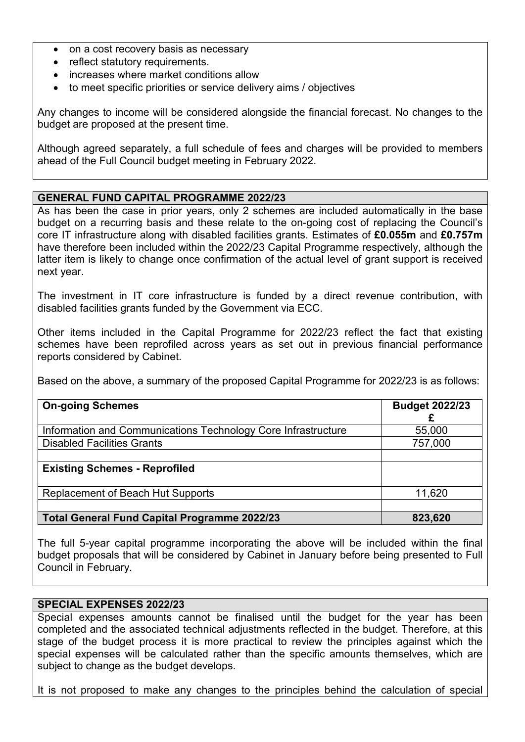- on a cost recovery basis as necessary
- reflect statutory requirements.
- increases where market conditions allow
- to meet specific priorities or service delivery aims / objectives

Any changes to income will be considered alongside the financial forecast. No changes to the budget are proposed at the present time.

Although agreed separately, a full schedule of fees and charges will be provided to members ahead of the Full Council budget meeting in February 2022.

#### **GENERAL FUND CAPITAL PROGRAMME 2022/23**

As has been the case in prior years, only 2 schemes are included automatically in the base budget on a recurring basis and these relate to the on-going cost of replacing the Council's core IT infrastructure along with disabled facilities grants. Estimates of **£0.055m** and **£0.757m** have therefore been included within the 2022/23 Capital Programme respectively, although the latter item is likely to change once confirmation of the actual level of grant support is received next year.

The investment in IT core infrastructure is funded by a direct revenue contribution, with disabled facilities grants funded by the Government via ECC.

Other items included in the Capital Programme for 2022/23 reflect the fact that existing schemes have been reprofiled across years as set out in previous financial performance reports considered by Cabinet.

Based on the above, a summary of the proposed Capital Programme for 2022/23 is as follows:

| <b>On-going Schemes</b>                                       | <b>Budget 2022/23</b> |
|---------------------------------------------------------------|-----------------------|
| Information and Communications Technology Core Infrastructure | 55,000                |
| <b>Disabled Facilities Grants</b>                             | 757,000               |
|                                                               |                       |
| <b>Existing Schemes - Reprofiled</b>                          |                       |
| Replacement of Beach Hut Supports                             | 11,620                |
|                                                               |                       |
| <b>Total General Fund Capital Programme 2022/23</b>           | 823,620               |

The full 5-year capital programme incorporating the above will be included within the final budget proposals that will be considered by Cabinet in January before being presented to Full Council in February.

#### **SPECIAL EXPENSES 2022/23**

Special expenses amounts cannot be finalised until the budget for the year has been completed and the associated technical adjustments reflected in the budget. Therefore, at this stage of the budget process it is more practical to review the principles against which the special expenses will be calculated rather than the specific amounts themselves, which are subject to change as the budget develops.

It is not proposed to make any changes to the principles behind the calculation of special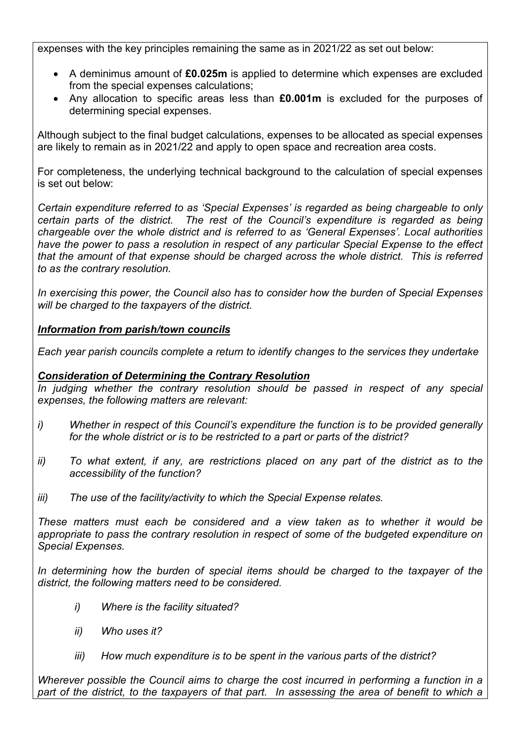expenses with the key principles remaining the same as in 2021/22 as set out below:

- A deminimus amount of **£0.025m** is applied to determine which expenses are excluded from the special expenses calculations;
- Any allocation to specific areas less than **£0.001m** is excluded for the purposes of determining special expenses.

Although subject to the final budget calculations, expenses to be allocated as special expenses are likely to remain as in 2021/22 and apply to open space and recreation area costs.

For completeness, the underlying technical background to the calculation of special expenses is set out below:

*Certain expenditure referred to as 'Special Expenses' is regarded as being chargeable to only certain parts of the district. The rest of the Council's expenditure is regarded as being chargeable over the whole district and is referred to as 'General Expenses'. Local authorities have the power to pass a resolution in respect of any particular Special Expense to the effect that the amount of that expense should be charged across the whole district. This is referred to as the contrary resolution.* 

*In exercising this power, the Council also has to consider how the burden of Special Expenses will be charged to the taxpayers of the district.* 

## *Information from parish/town councils*

*Each year parish councils complete a return to identify changes to the services they undertake* 

## *Consideration of Determining the Contrary Resolution*

*In judging whether the contrary resolution should be passed in respect of any special expenses, the following matters are relevant:* 

- *i) Whether in respect of this Council's expenditure the function is to be provided generally for the whole district or is to be restricted to a part or parts of the district?*
- *ii) To what extent, if any, are restrictions placed on any part of the district as to the accessibility of the function?*
- *iii) The use of the facility/activity to which the Special Expense relates.*

*These matters must each be considered and a view taken as to whether it would be appropriate to pass the contrary resolution in respect of some of the budgeted expenditure on Special Expenses.* 

In determining how the burden of special items should be charged to the taxpayer of the *district, the following matters need to be considered.* 

- *i) Where is the facility situated?*
- *ii) Who uses it?*
- *iii) How much expenditure is to be spent in the various parts of the district?*

*Wherever possible the Council aims to charge the cost incurred in performing a function in a*  part of the district, to the taxpayers of that part. In assessing the area of benefit to which a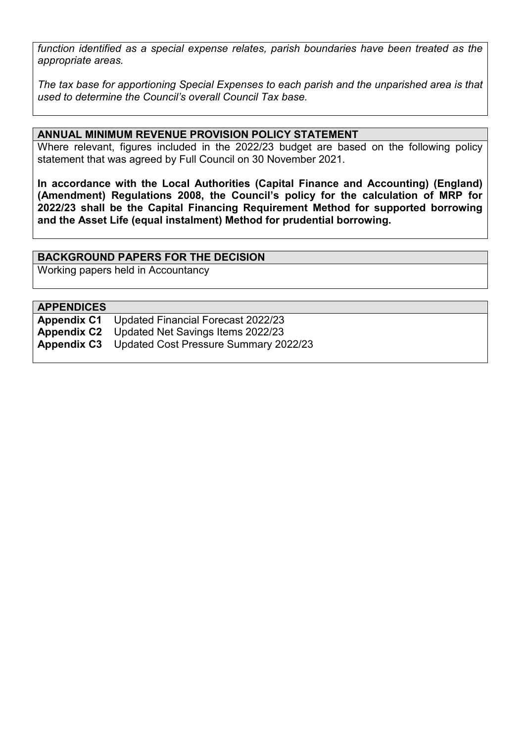*function identified as a special expense relates, parish boundaries have been treated as the appropriate areas.* 

*The tax base for apportioning Special Expenses to each parish and the unparished area is that used to determine the Council's overall Council Tax base.* 

#### **ANNUAL MINIMUM REVENUE PROVISION POLICY STATEMENT**

Where relevant, figures included in the 2022/23 budget are based on the following policy statement that was agreed by Full Council on 30 November 2021.

**In accordance with the Local Authorities (Capital Finance and Accounting) (England) (Amendment) Regulations 2008, the Council's policy for the calculation of MRP for 2022/23 shall be the Capital Financing Requirement Method for supported borrowing and the Asset Life (equal instalment) Method for prudential borrowing.** 

#### **BACKGROUND PAPERS FOR THE DECISION**

Working papers held in Accountancy

#### **APPENDICES**

| <b>Appendix C1</b> Updated Financial Forecast 2022/23    |
|----------------------------------------------------------|
| <b>Appendix C2</b> Updated Net Savings Items 2022/23     |
| <b>Appendix C3</b> Updated Cost Pressure Summary 2022/23 |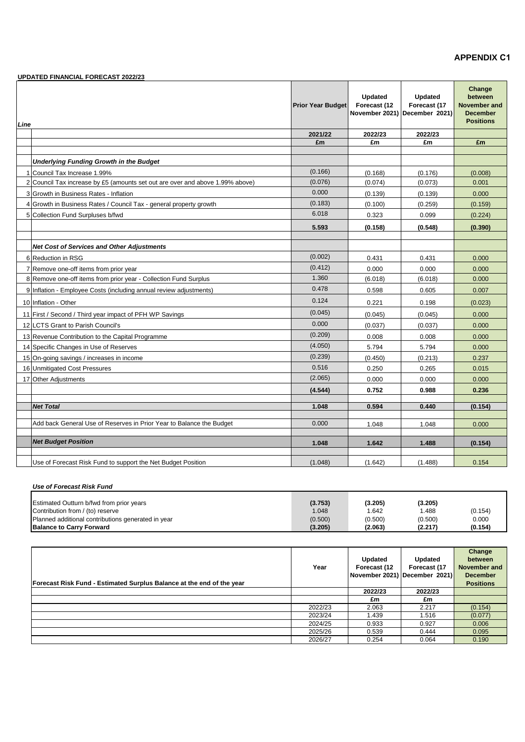#### **APPENDIX C1**

|      | <b>UPDATED FINANCIAL FORECAST 2022/23</b>                                     |                          |                                |                                                                 |                                                                          |
|------|-------------------------------------------------------------------------------|--------------------------|--------------------------------|-----------------------------------------------------------------|--------------------------------------------------------------------------|
| Line |                                                                               | <b>Prior Year Budget</b> | <b>Updated</b><br>Forecast (12 | <b>Updated</b><br>Forecast (17<br>November 2021) December 2021) | Change<br>between<br>November and<br><b>December</b><br><b>Positions</b> |
|      |                                                                               | 2021/22                  | 2022/23                        | 2022/23                                                         |                                                                          |
|      |                                                                               | £m                       | £m                             | £m                                                              | £m                                                                       |
|      |                                                                               |                          |                                |                                                                 |                                                                          |
|      | <b>Underlying Funding Growth in the Budget</b>                                |                          |                                |                                                                 |                                                                          |
|      | 1 Council Tax Increase 1.99%                                                  | (0.166)                  | (0.168)                        | (0.176)                                                         | (0.008)                                                                  |
|      | 2 Council Tax increase by £5 (amounts set out are over and above 1.99% above) | (0.076)                  | (0.074)                        | (0.073)                                                         | 0.001                                                                    |
|      | 3 Growth in Business Rates - Inflation                                        | 0.000                    | (0.139)                        | (0.139)                                                         | 0.000                                                                    |
|      | 4 Growth in Business Rates / Council Tax - general property growth            | (0.183)                  | (0.100)                        | (0.259)                                                         | (0.159)                                                                  |
|      | 5 Collection Fund Surpluses b/fwd                                             | 6.018                    | 0.323                          | 0.099                                                           | (0.224)                                                                  |
|      |                                                                               | 5.593                    | (0.158)                        | (0.548)                                                         | (0.390)                                                                  |
|      | <b>Net Cost of Services and Other Adjustments</b>                             |                          |                                |                                                                 |                                                                          |
|      |                                                                               | (0.002)                  |                                |                                                                 |                                                                          |
|      | 6 Reduction in RSG                                                            | (0.412)                  | 0.431                          | 0.431                                                           | 0.000                                                                    |
|      | 7 Remove one-off items from prior year                                        | 1.360                    | 0.000                          | 0.000                                                           | 0.000<br>0.000                                                           |
|      | 8 Remove one-off items from prior year - Collection Fund Surplus              | 0.478                    | (6.018)                        | (6.018)                                                         |                                                                          |
|      | 9 Inflation - Employee Costs (including annual review adjustments)            |                          | 0.598                          | 0.605                                                           | 0.007                                                                    |
|      | 10 Inflation - Other                                                          | 0.124                    | 0.221                          | 0.198                                                           | (0.023)                                                                  |
|      | 11 First / Second / Third year impact of PFH WP Savings                       | (0.045)                  | (0.045)                        | (0.045)                                                         | 0.000                                                                    |
|      | 12 LCTS Grant to Parish Council's                                             | 0.000                    | (0.037)                        | (0.037)                                                         | 0.000                                                                    |
|      | 13 Revenue Contribution to the Capital Programme                              | (0.209)                  | 0.008                          | 0.008                                                           | 0.000                                                                    |
|      | 14 Specific Changes in Use of Reserves                                        | (4.050)                  | 5.794                          | 5.794                                                           | 0.000                                                                    |
|      | 15 On-going savings / increases in income                                     | (0.239)                  | (0.450)                        | (0.213)                                                         | 0.237                                                                    |
|      | 16 Unmitigated Cost Pressures                                                 | 0.516                    | 0.250                          | 0.265                                                           | 0.015                                                                    |
|      | 17 Other Adjustments                                                          | (2.065)                  | 0.000                          | 0.000                                                           | 0.000                                                                    |
|      |                                                                               | (4.544)                  | 0.752                          | 0.988                                                           | 0.236                                                                    |
|      | <b>Net Total</b>                                                              | 1.048                    | 0.594                          | 0.440                                                           | (0.154)                                                                  |
|      |                                                                               |                          |                                |                                                                 |                                                                          |
|      | Add back General Use of Reserves in Prior Year to Balance the Budget          | 0.000                    | 1.048                          | 1.048                                                           | 0.000                                                                    |
|      | <b>Net Budget Position</b>                                                    | 1.048                    | 1.642                          | 1.488                                                           | (0.154)                                                                  |
|      |                                                                               |                          |                                |                                                                 |                                                                          |
|      | Use of Forecast Risk Fund to support the Net Budget Position                  | (1.048)                  | (1.642)                        | (1.488)                                                         | 0.154                                                                    |

#### *Use of Forecast Risk Fund*

| Estimated Outturn b/fwd from prior years           | (3.753) | (3.205) | (3.205) |         |
|----------------------------------------------------|---------|---------|---------|---------|
| Contribution from / (to) reserve                   | 1.048   | .642    | .488    | (0.154) |
| Planned additional contributions generated in year | (0.500) | (0.500) | (0.500) | 0.000   |
| <b>Balance to Carry Forward</b>                    | (3.205) | (2.063) | (2.217) | (0.154) |

|                                                                       |         |              |                               | Change           |
|-----------------------------------------------------------------------|---------|--------------|-------------------------------|------------------|
|                                                                       |         | Updated      | <b>Updated</b>                | between          |
|                                                                       | Year    | Forecast (12 | Forecast (17                  | November and     |
|                                                                       |         |              | November 2021) December 2021) | <b>December</b>  |
| Forecast Risk Fund - Estimated Surplus Balance at the end of the year |         |              |                               | <b>Positions</b> |
|                                                                       |         | 2022/23      | 2022/23                       |                  |
|                                                                       |         | £m           | £m                            |                  |
|                                                                       | 2022/23 | 2.063        | 2.217                         | (0.154)          |
|                                                                       | 2023/24 | 1.439        | 1.516                         | (0.077)          |
|                                                                       | 2024/25 | 0.933        | 0.927                         | 0.006            |
|                                                                       | 2025/26 | 0.539        | 0.444                         | 0.095            |
|                                                                       | 2026/27 | 0.254        | 0.064                         | 0.190            |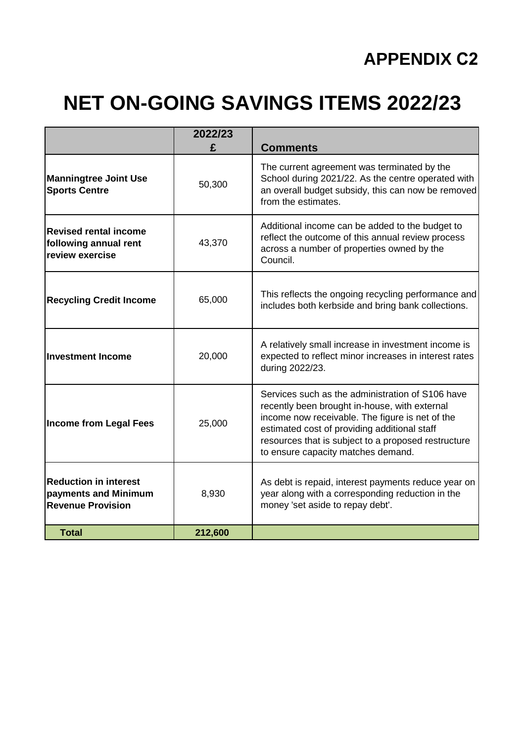# **APPENDIX C2**

# **NET ON-GOING SAVINGS ITEMS 2022/23**

|                                                                                  | 2022/23<br>£ | <b>Comments</b>                                                                                                                                                                                                                                                                                   |
|----------------------------------------------------------------------------------|--------------|---------------------------------------------------------------------------------------------------------------------------------------------------------------------------------------------------------------------------------------------------------------------------------------------------|
| <b>Manningtree Joint Use</b><br><b>Sports Centre</b>                             | 50,300       | The current agreement was terminated by the<br>School during 2021/22. As the centre operated with<br>an overall budget subsidy, this can now be removed<br>from the estimates.                                                                                                                    |
| <b>Revised rental income</b><br>following annual rent<br>review exercise         | 43,370       | Additional income can be added to the budget to<br>reflect the outcome of this annual review process<br>across a number of properties owned by the<br>Council.                                                                                                                                    |
| <b>Recycling Credit Income</b>                                                   | 65,000       | This reflects the ongoing recycling performance and<br>includes both kerbside and bring bank collections.                                                                                                                                                                                         |
| <b>Investment Income</b>                                                         | 20,000       | A relatively small increase in investment income is<br>expected to reflect minor increases in interest rates<br>during 2022/23.                                                                                                                                                                   |
| <b>Income from Legal Fees</b>                                                    | 25,000       | Services such as the administration of S106 have<br>recently been brought in-house, with external<br>income now receivable. The figure is net of the<br>estimated cost of providing additional staff<br>resources that is subject to a proposed restructure<br>to ensure capacity matches demand. |
| <b>Reduction in interest</b><br>payments and Minimum<br><b>Revenue Provision</b> | 8,930        | As debt is repaid, interest payments reduce year on<br>year along with a corresponding reduction in the<br>money 'set aside to repay debt'.                                                                                                                                                       |
| <b>Total</b>                                                                     | 212,600      |                                                                                                                                                                                                                                                                                                   |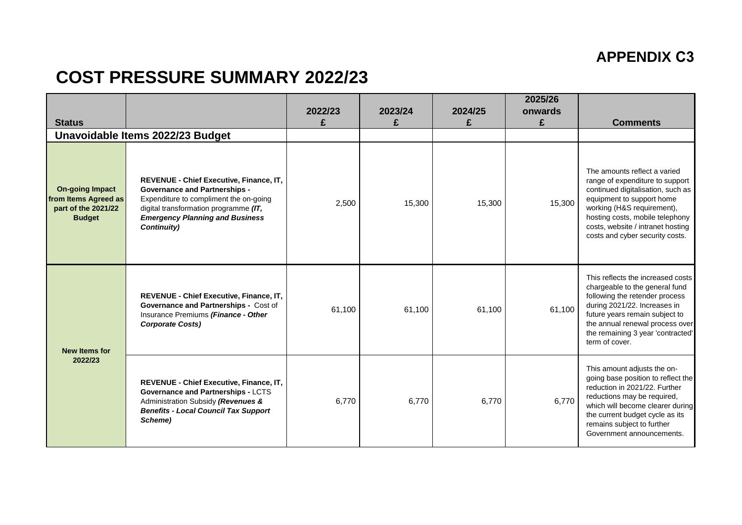# **APPENDIX C3**

# **COST PRESSURE SUMMARY 2022/23**

| <b>Status</b>                                                                          |                                                                                                                                                                                                                             | 2022/23<br>£ | 2023/24<br>£ | 2024/25 | 2025/26<br>onwards<br>£ | <b>Comments</b>                                                                                                                                                                                                                                                            |
|----------------------------------------------------------------------------------------|-----------------------------------------------------------------------------------------------------------------------------------------------------------------------------------------------------------------------------|--------------|--------------|---------|-------------------------|----------------------------------------------------------------------------------------------------------------------------------------------------------------------------------------------------------------------------------------------------------------------------|
|                                                                                        | Unavoidable Items 2022/23 Budget                                                                                                                                                                                            |              |              |         |                         |                                                                                                                                                                                                                                                                            |
| <b>On-going Impact</b><br>from Items Agreed as<br>part of the 2021/22<br><b>Budget</b> | REVENUE - Chief Executive, Finance, IT,<br><b>Governance and Partnerships -</b><br>Expenditure to compliment the on-going<br>digital transformation programme (IT,<br><b>Emergency Planning and Business</b><br>Continuity) | 2,500        | 15,300       | 15,300  | 15,300                  | The amounts reflect a varied<br>range of expenditure to support<br>continued digitalisation, such as<br>equipment to support home<br>working (H&S requirement),<br>hosting costs, mobile telephony<br>costs, website / intranet hosting<br>costs and cyber security costs. |
| <b>New Items for</b><br>2022/23                                                        | REVENUE - Chief Executive, Finance, IT,<br>Governance and Partnerships - Cost of<br>Insurance Premiums (Finance - Other<br><b>Corporate Costs)</b>                                                                          | 61,100       | 61,100       | 61,100  | 61.100                  | This reflects the increased costs<br>chargeable to the general fund<br>following the retender process<br>during 2021/22. Increases in<br>future years remain subject to<br>the annual renewal process over<br>the remaining 3 year 'contracted'<br>term of cover.          |
|                                                                                        | REVENUE - Chief Executive, Finance, IT,<br>Governance and Partnerships - LCTS<br>Administration Subsidy (Revenues &<br><b>Benefits - Local Council Tax Support</b><br>Scheme)                                               | 6,770        | 6,770        | 6,770   | 6,770                   | This amount adjusts the on-<br>going base position to reflect the<br>reduction in 2021/22. Further<br>reductions may be required,<br>which will become clearer during<br>the current budget cycle as its<br>remains subject to further<br>Government announcements.        |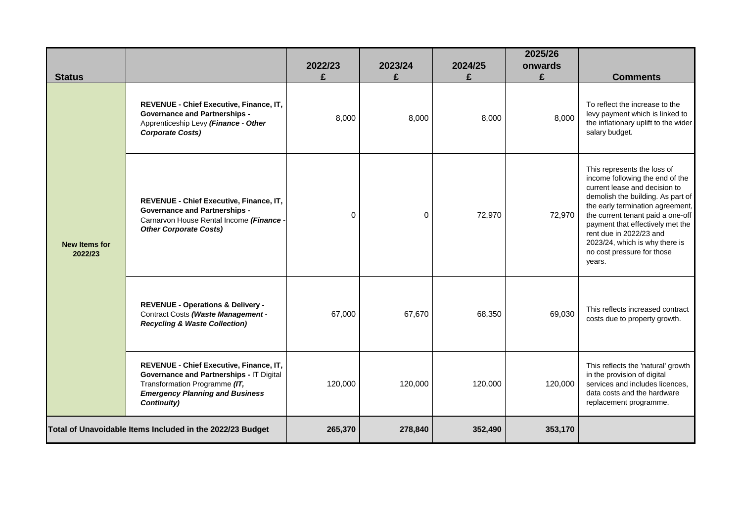| <b>Status</b>                   |                                                                                                                                                                               | 2022/23<br>£ | 2023/24<br>£ | 2024/25<br>£ | 2025/26<br>onwards<br>£ | <b>Comments</b>                                                                                                                                                                                                                                                                                                                                        |
|---------------------------------|-------------------------------------------------------------------------------------------------------------------------------------------------------------------------------|--------------|--------------|--------------|-------------------------|--------------------------------------------------------------------------------------------------------------------------------------------------------------------------------------------------------------------------------------------------------------------------------------------------------------------------------------------------------|
| <b>New Items for</b><br>2022/23 | REVENUE - Chief Executive, Finance, IT,<br><b>Governance and Partnerships -</b><br>Apprenticeship Levy (Finance - Other<br><b>Corporate Costs)</b>                            | 8,000        | 8,000        | 8,000        | 8,000                   | To reflect the increase to the<br>levy payment which is linked to<br>the inflationary uplift to the wider<br>salary budget.                                                                                                                                                                                                                            |
|                                 | REVENUE - Chief Executive, Finance, IT,<br><b>Governance and Partnerships -</b><br>Carnarvon House Rental Income (Finance -<br><b>Other Corporate Costs)</b>                  | $\Omega$     | $\Omega$     | 72,970       | 72,970                  | This represents the loss of<br>income following the end of the<br>current lease and decision to<br>demolish the building. As part of<br>the early termination agreement,<br>the current tenant paid a one-off<br>payment that effectively met the<br>rent due in 2022/23 and<br>2023/24, which is why there is<br>no cost pressure for those<br>years. |
|                                 | <b>REVENUE - Operations &amp; Delivery -</b><br>Contract Costs (Waste Management -<br><b>Recycling &amp; Waste Collection)</b>                                                | 67,000       | 67,670       | 68,350       | 69,030                  | This reflects increased contract<br>costs due to property growth.                                                                                                                                                                                                                                                                                      |
|                                 | REVENUE - Chief Executive, Finance, IT,<br>Governance and Partnerships - IT Digital<br>Transformation Programme (IT,<br><b>Emergency Planning and Business</b><br>Continuity) | 120,000      | 120,000      | 120,000      | 120,000                 | This reflects the 'natural' growth<br>in the provision of digital<br>services and includes licences.<br>data costs and the hardware<br>replacement programme.                                                                                                                                                                                          |
|                                 | Total of Unavoidable Items Included in the 2022/23 Budget                                                                                                                     | 265,370      | 278,840      | 352,490      | 353,170                 |                                                                                                                                                                                                                                                                                                                                                        |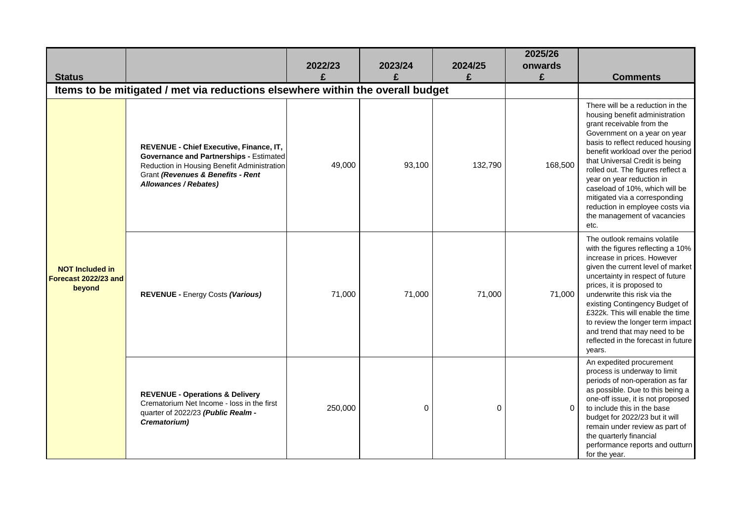| <b>Status</b>                                            |                                                                                                                                                                                                 | 2022/23<br>£ | 2023/24<br>£ | 2024/25<br>£ | 2025/26<br>onwards<br>£ | <b>Comments</b>                                                                                                                                                                                                                                                                                                                                                                                                                                          |
|----------------------------------------------------------|-------------------------------------------------------------------------------------------------------------------------------------------------------------------------------------------------|--------------|--------------|--------------|-------------------------|----------------------------------------------------------------------------------------------------------------------------------------------------------------------------------------------------------------------------------------------------------------------------------------------------------------------------------------------------------------------------------------------------------------------------------------------------------|
|                                                          | Items to be mitigated / met via reductions elsewhere within the overall budget                                                                                                                  |              |              |              |                         |                                                                                                                                                                                                                                                                                                                                                                                                                                                          |
| <b>NOT Included in</b><br>Forecast 2022/23 and<br>beyond | REVENUE - Chief Executive, Finance, IT,<br>Governance and Partnerships - Estimated<br>Reduction in Housing Benefit Administration<br>Grant (Revenues & Benefits - Rent<br>Allowances / Rebates) | 49,000       | 93,100       | 132,790      | 168,500                 | There will be a reduction in the<br>housing benefit administration<br>grant receivable from the<br>Government on a year on year<br>basis to reflect reduced housing<br>benefit workload over the period<br>that Universal Credit is being<br>rolled out. The figures reflect a<br>year on year reduction in<br>caseload of 10%, which will be<br>mitigated via a corresponding<br>reduction in employee costs via<br>the management of vacancies<br>etc. |
|                                                          | <b>REVENUE - Energy Costs (Various)</b>                                                                                                                                                         | 71,000       | 71,000       | 71,000       | 71,000                  | The outlook remains volatile<br>with the figures reflecting a 10%<br>increase in prices. However<br>given the current level of market<br>uncertainty in respect of future<br>prices, it is proposed to<br>underwrite this risk via the<br>existing Contingency Budget of<br>£322k. This will enable the time<br>to review the longer term impact<br>and trend that may need to be<br>reflected in the forecast in future<br>years.                       |
|                                                          | <b>REVENUE - Operations &amp; Delivery</b><br>Crematorium Net Income - loss in the first<br>quarter of 2022/23 (Public Realm -<br>Crematorium)                                                  | 250,000      | 0            | 0            | $\Omega$                | An expedited procurement<br>process is underway to limit<br>periods of non-operation as far<br>as possible. Due to this being a<br>one-off issue, it is not proposed<br>to include this in the base<br>budget for 2022/23 but it will<br>remain under review as part of<br>the quarterly financial<br>performance reports and outturn<br>for the year.                                                                                                   |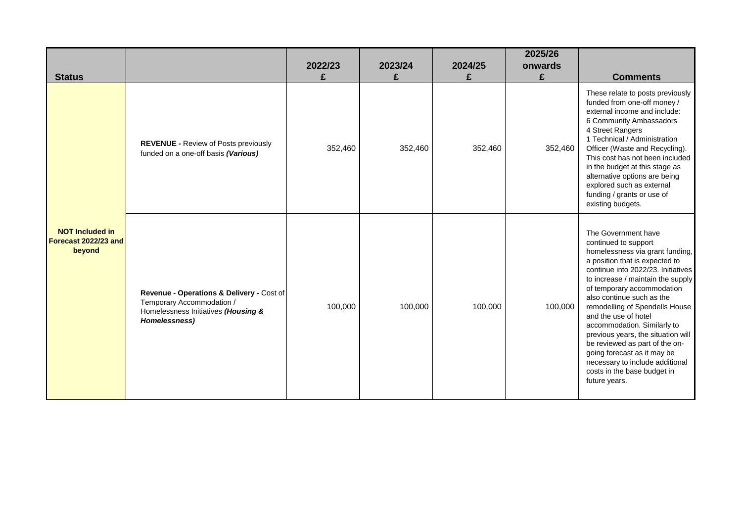| <b>Status</b>                                            |                                                                                                                                | 2022/23<br>£ | 2023/24<br>£ | 2024/25<br>£ | 2025/26<br>onwards<br>£ | <b>Comments</b>                                                                                                                                                                                                                                                                                                                                                                                                                                                                                                                           |
|----------------------------------------------------------|--------------------------------------------------------------------------------------------------------------------------------|--------------|--------------|--------------|-------------------------|-------------------------------------------------------------------------------------------------------------------------------------------------------------------------------------------------------------------------------------------------------------------------------------------------------------------------------------------------------------------------------------------------------------------------------------------------------------------------------------------------------------------------------------------|
|                                                          | <b>REVENUE - Review of Posts previously</b><br>funded on a one-off basis (Various)                                             | 352,460      | 352,460      | 352,460      | 352,460                 | These relate to posts previously<br>funded from one-off money /<br>external income and include:<br>6 Community Ambassadors<br>4 Street Rangers<br>1 Technical / Administration<br>Officer (Waste and Recycling).<br>This cost has not been included<br>in the budget at this stage as<br>alternative options are being<br>explored such as external<br>funding / grants or use of<br>existing budgets.                                                                                                                                    |
| <b>NOT Included in</b><br>Forecast 2022/23 and<br>beyond | Revenue - Operations & Delivery - Cost of<br>Temporary Accommodation /<br>Homelessness Initiatives (Housing &<br>Homelessness) | 100,000      | 100,000      | 100,000      | 100,000                 | The Government have<br>continued to support<br>homelessness via grant funding,<br>a position that is expected to<br>continue into 2022/23. Initiatives<br>to increase / maintain the supply<br>of temporary accommodation<br>also continue such as the<br>remodelling of Spendells House<br>and the use of hotel<br>accommodation. Similarly to<br>previous years, the situation will<br>be reviewed as part of the on-<br>going forecast as it may be<br>necessary to include additional<br>costs in the base budget in<br>future years. |